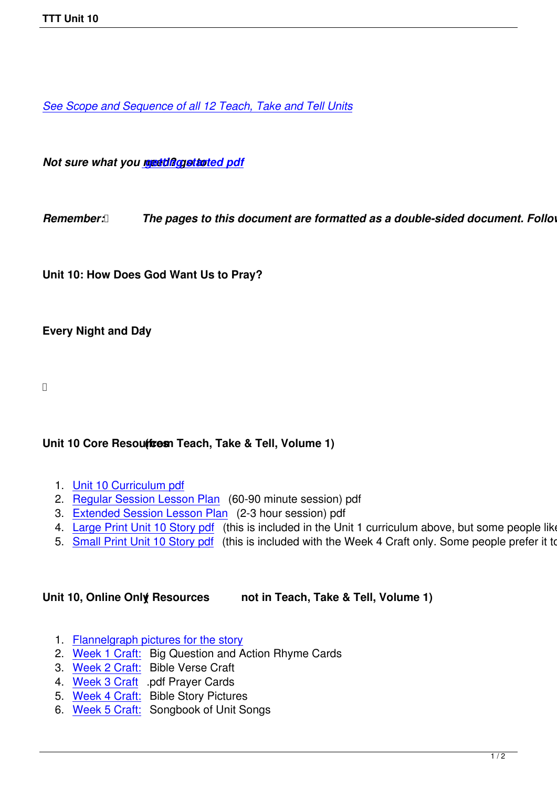*See Scope and Sequence of all 12 Teach, Take and Tell Units*

*Not sure what you need diagotasted pdf* 

*Remember: <b><i>[The pages to this d](images/TTT/8 4 11 TTT/New TTT Website Documents/TTT Book portions/2nd GEtting Started.pdf)ocument are formatted as a double-sided document. Follow y* 

**Unit 10: How Does God Want Us to Pray?**

#### **Every Night and Day**

### Unit 10 Core Resoutteen Teach, Take & Tell, Volume 1)

- 1. Unit 10 Curriculum pdf
- 2. Regular Session Lesson Plan (60-90 minute session) pdf
- 3. Extended Session Lesson Plan (2-3 hour session) pdf
- 4. [Large Print Unit 10 Sto](images/TTT/8 4 11 TTT/Unit 10/Unit 10/4th Unit 10 Curr Portion.pdf)ry pdf (this is included in the Unit 1 curriculum above, but some people like to
- 5. [Small Print Unit 10 Story pdf](images/TTT/8 4 11 TTT/Unit 10/Unit 10/3rd LP 10R.pdf) (this is included with the Week 4 Craft only. Some people prefer it to the

#### **Unit [10, Online Only Resources \(](images/TTT/8 4 11 TTT/Unit 10/Unit 10/4th SP Story 10.pdf) not in Teach, Take & Tell, Volume 1)**

- 1. Flannelgraph pictures for the story
- 2. Week 1 Craft: Big Question and Action Rhyme Cards
- 3. Week 2 Craft: Bible Verse Craft
- 4. [Week 3 Craft .pdf Prayer Cards](images/TTT/8 4 11 TTT/Unit 10/Unit 10/10 pics.pdf)
- 5. [Week 4 Craft:](images/TTT/8 4 11 TTT/Unit 10/Unit 10/Week 1 Craft.pdf) Bible Story Pictures
- 6. [Week 5 Craft:](images/TTT/8 4 11 TTT/Unit 10/Unit 10/Week 2 Craft.pdf) Songbook of Unit Songs